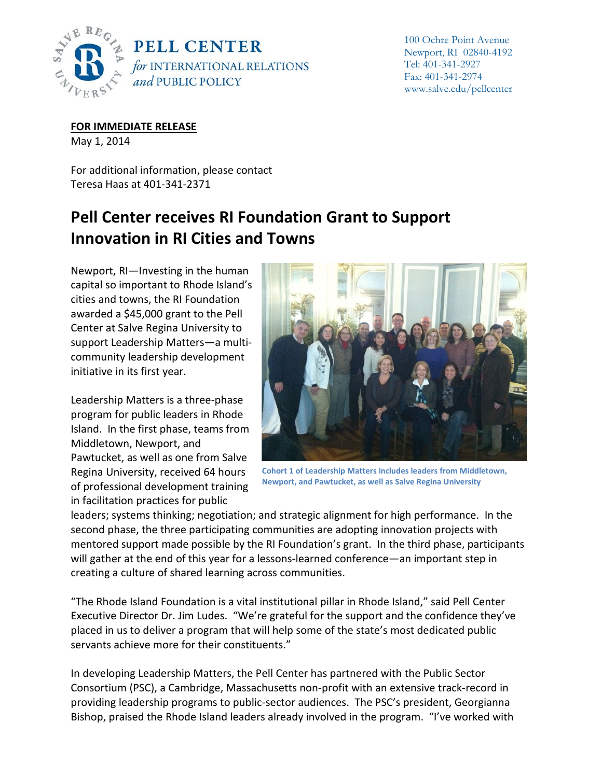

100 Ochre Point Avenue Newport, RI 02840-4192 Tel: 401-341-2927 Fax: 401-341-2974 www.salve.edu/pellcenter

**FOR IMMEDIATE RELEASE**

May 1, 2014

For additional information, please contact Teresa Haas at 401-341-2371

## **Pell Center receives RI Foundation Grant to Support Innovation in RI Cities and Towns**

Newport, RI—Investing in the human capital so important to Rhode Island's cities and towns, the RI Foundation awarded a \$45,000 grant to the Pell Center at Salve Regina University to support Leadership Matters—a multicommunity leadership development initiative in its first year.

Leadership Matters is a three-phase program for public leaders in Rhode Island. In the first phase, teams from Middletown, Newport, and Pawtucket, as well as one from Salve Regina University, received 64 hours of professional development training in facilitation practices for public



**Cohort 1 of Leadership Matters includes leaders from Middletown, Newport, and Pawtucket, as well as Salve Regina University**

leaders; systems thinking; negotiation; and strategic alignment for high performance. In the second phase, the three participating communities are adopting innovation projects with mentored support made possible by the RI Foundation's grant. In the third phase, participants will gather at the end of this year for a lessons-learned conference—an important step in creating a culture of shared learning across communities.

"The Rhode Island Foundation is a vital institutional pillar in Rhode Island," said Pell Center Executive Director Dr. Jim Ludes. "We're grateful for the support and the confidence they've placed in us to deliver a program that will help some of the state's most dedicated public servants achieve more for their constituents."

In developing Leadership Matters, the Pell Center has partnered with the Public Sector Consortium (PSC), a Cambridge, Massachusetts non-profit with an extensive track-record in providing leadership programs to public-sector audiences. The PSC's president, Georgianna Bishop, praised the Rhode Island leaders already involved in the program. "I've worked with